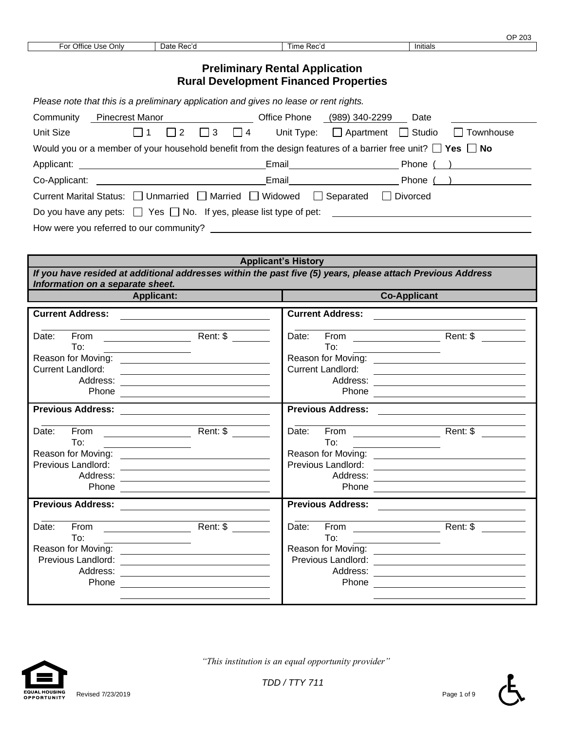|                           |            |                         | $\sim$<br>$\overline{\phantom{a}}$<br>ں∪ے<br>◡ |
|---------------------------|------------|-------------------------|------------------------------------------------|
| For Office<br>Only<br>Use | Date Rec'd | ïme<br>. Doo'<br>י הסגי | Initials                                       |
|                           |            |                         |                                                |

## **Preliminary Rental Application Rural Development Financed Properties**

| Please note that this is a preliminary application and gives no lease or rent rights. |                 |                                                                              |                                                                                                                       |                  |  |  |
|---------------------------------------------------------------------------------------|-----------------|------------------------------------------------------------------------------|-----------------------------------------------------------------------------------------------------------------------|------------------|--|--|
| Community                                                                             | Pinecrest Manor | Office Phone (989) 340-2299                                                  | Date                                                                                                                  |                  |  |  |
| Unit Size                                                                             | 2               | $\Box$ 3<br>$\Box$ 4                                                         | Unit Type: □ Apartment □ Studio                                                                                       | $\Box$ Townhouse |  |  |
|                                                                                       |                 |                                                                              | Would you or a member of your household benefit from the design features of a barrier free unit? $\Box$ Yes $\Box$ No |                  |  |  |
|                                                                                       |                 |                                                                              | Phone $($ $)$                                                                                                         |                  |  |  |
|                                                                                       |                 | Email <b>Exercise Service Service Service</b>                                | Phone $($ )                                                                                                           |                  |  |  |
|                                                                                       |                 | Current Marital Status: □ Unmarried □ Married □ Widowed □ Separated          | Divorced                                                                                                              |                  |  |  |
|                                                                                       |                 | Do you have any pets: $\Box$ Yes $\Box$ No. If yes, please list type of pet: |                                                                                                                       |                  |  |  |
|                                                                                       |                 | How were you referred to our community?                                      |                                                                                                                       |                  |  |  |

| <b>Applicant's History</b>                                                                                                                     |                                                                                                                                   |                                             |                                                                                                                                   |  |  |  |
|------------------------------------------------------------------------------------------------------------------------------------------------|-----------------------------------------------------------------------------------------------------------------------------------|---------------------------------------------|-----------------------------------------------------------------------------------------------------------------------------------|--|--|--|
| If you have resided at additional addresses within the past five (5) years, please attach Previous Address<br>Information on a separate sheet. |                                                                                                                                   |                                             |                                                                                                                                   |  |  |  |
| <b>Applicant:</b>                                                                                                                              |                                                                                                                                   |                                             | <b>Co-Applicant</b>                                                                                                               |  |  |  |
| <b>Current Address:</b>                                                                                                                        | <u> 1989 - Jan Stein Harry Harry Harry Harry Harry Harry Harry Harry Harry Harry Harry Harry Harry Harry Harry</u>                | <b>Current Address:</b>                     |                                                                                                                                   |  |  |  |
| Date:<br>To:<br>the control of the control of the control of the control of<br><b>Current Landlord:</b>                                        |                                                                                                                                   | Date:<br>To:<br><b>Current Landlord:</b>    |                                                                                                                                   |  |  |  |
| <b>Previous Address:</b>                                                                                                                       | <u> 1980 - Jan Stein Stein Stein Stein Stein Stein Stein Stein Stein Stein Stein Stein Stein Stein Stein Stein S</u>              | <b>Previous Address:</b>                    |                                                                                                                                   |  |  |  |
| From<br>Date:<br>To:<br>Previous Landlord:<br>Address:<br>Phone                                                                                | Rent: \$<br><u> 1989 - Johann Barnett, fransk politiker (d. 1989)</u>                                                             | Date:<br>To:<br>Previous Landlord:<br>Phone | Rent: \$<br><u> 1989 - Johann Stein, mars an deutscher Stein († 1958)</u><br><u> 1980 - John Stein, Amerikaansk politiker (</u>   |  |  |  |
| <b>Previous Address:</b>                                                                                                                       |                                                                                                                                   | <b>Previous Address:</b>                    |                                                                                                                                   |  |  |  |
| From<br>Date:<br><u> The Communication of the Communication</u><br>To:<br>Previous Landlord:<br>Address:<br>Phone                              | Rent: \$<br><u> 1989 - Jan Sterlinger, skriuwer fan it ferstjer fan it ferstjer fan it ferstjer fan it ferstjer fan it ferstj</u> | Date:<br>To:<br>Address:<br>Phone           | Rent: \$<br><u>and the state of the state of the state of the state of the state of the state of the state of the state of th</u> |  |  |  |

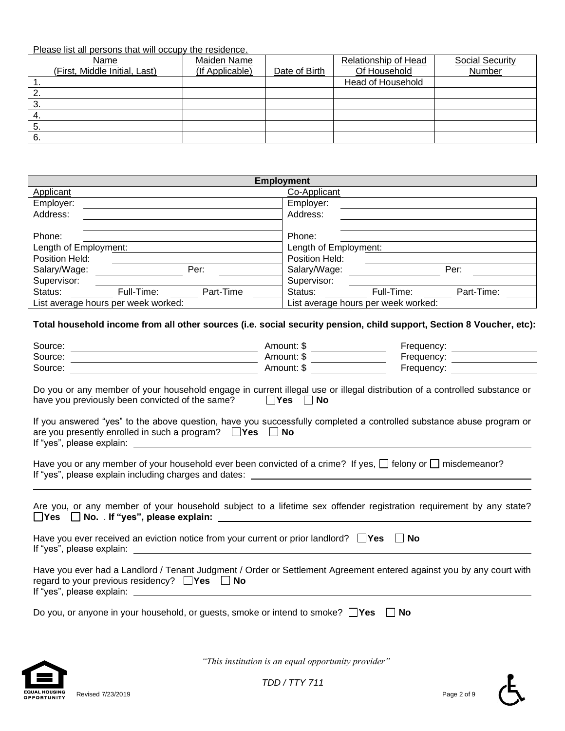Please list all persons that will occupy the residence.

| Name                          | Maiden Name     |               | Relationship of Head | Social Security |
|-------------------------------|-----------------|---------------|----------------------|-----------------|
| (First, Middle Initial, Last) | (If Applicable) | Date of Birth | Of Household         | Number          |
| . .                           |                 |               | Head of Household    |                 |
| ۷.                            |                 |               |                      |                 |
| ు.                            |                 |               |                      |                 |
| 4.                            |                 |               |                      |                 |
| э.                            |                 |               |                      |                 |
| 6.                            |                 |               |                      |                 |

|                                     |            |           | <b>Employment</b>                   |            |            |
|-------------------------------------|------------|-----------|-------------------------------------|------------|------------|
| Applicant                           |            |           | Co-Applicant                        |            |            |
| Employer:                           |            |           | Employer:                           |            |            |
| Address:                            |            |           | Address:                            |            |            |
|                                     |            |           |                                     |            |            |
| Phone:                              |            |           | Phone:                              |            |            |
| Length of Employment:               |            |           | Length of Employment:               |            |            |
| Position Held:                      |            |           | Position Held:                      |            |            |
| Salary/Wage:                        |            | Per:      | Salary/Wage:                        |            | Per:       |
| Supervisor:                         |            |           | Supervisor:                         |            |            |
| Status:                             | Full-Time: | Part-Time | Status:                             | Full-Time: | Part-Time: |
| List average hours per week worked: |            |           | List average hours per week worked: |            |            |

**Total household income from all other sources (i.e. social security pension, child support, Section 8 Voucher, etc):**

|                                                                                                                                                                                                   | Amount: \$                    | Frequency: <u>__________________</u> |
|---------------------------------------------------------------------------------------------------------------------------------------------------------------------------------------------------|-------------------------------|--------------------------------------|
| Source:                                                                                                                                                                                           | Amount: \$ __________________ | Frequency: __________________        |
| Source:                                                                                                                                                                                           | Amount: \$                    | Frequency: ________________          |
| Do you or any member of your household engage in current illegal use or illegal distribution of a controlled substance or<br>have you previously been convicted of the same? $\Box$ Yes $\Box$ No |                               |                                      |
| If you answered "yes" to the above question, have you successfully completed a controlled substance abuse program or<br>are you presently enrolled in such a program? $\Box$ Yes $\Box$ No        |                               |                                      |
| Have you or any member of your household ever been convicted of a crime? If yes, $\Box$ felony or $\Box$ misdemeanor?                                                                             |                               |                                      |
| Are you, or any member of your household subject to a lifetime sex offender registration requirement by any state?                                                                                |                               |                                      |
| Have you ever received an eviction notice from your current or prior landlord? $\Box$ Yes $\Box$ No                                                                                               |                               |                                      |
| Have you ever had a Landlord / Tenant Judgment / Order or Settlement Agreement entered against you by any court with<br>regard to your previous residency? $\Box$ Yes $\Box$ No                   |                               |                                      |
| Do you, or anyone in your household, or guests, smoke or intend to smoke? $\Box$ Yes $\Box$ No                                                                                                    |                               |                                      |
|                                                                                                                                                                                                   |                               |                                      |



 *"This institution is an equal opportunity provider"*



ʹԷ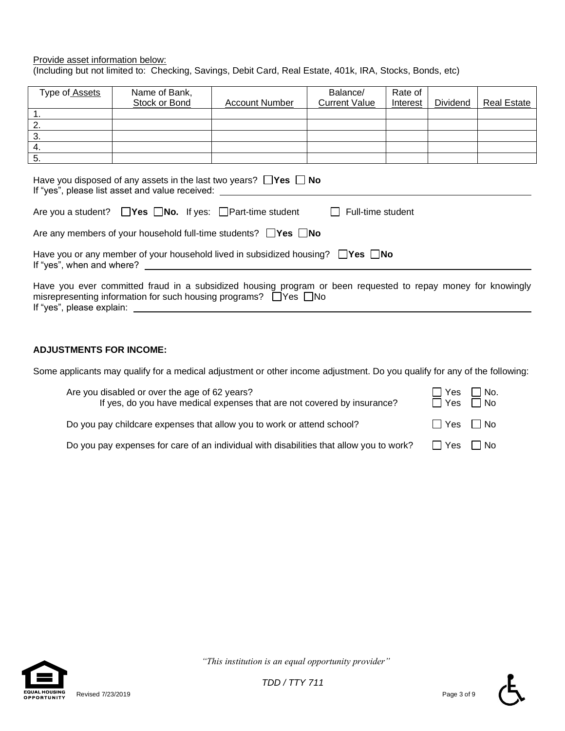#### Provide asset information below: (Including but not limited to: Checking, Savings, Debit Card, Real Estate, 401k, IRA, Stocks, Bonds, etc)

| Type of Assets                                                                                                                                                                                                                                                                                                                 | Name of Bank,        |                       | Balance/             | Rate of  |          |                    |  |
|--------------------------------------------------------------------------------------------------------------------------------------------------------------------------------------------------------------------------------------------------------------------------------------------------------------------------------|----------------------|-----------------------|----------------------|----------|----------|--------------------|--|
|                                                                                                                                                                                                                                                                                                                                | <b>Stock or Bond</b> | <b>Account Number</b> | <b>Current Value</b> | Interest | Dividend | <b>Real Estate</b> |  |
| $\overline{1}$ .                                                                                                                                                                                                                                                                                                               |                      |                       |                      |          |          |                    |  |
| 2.                                                                                                                                                                                                                                                                                                                             |                      |                       |                      |          |          |                    |  |
| $\overline{3}$ .                                                                                                                                                                                                                                                                                                               |                      |                       |                      |          |          |                    |  |
| $\overline{4}$ .                                                                                                                                                                                                                                                                                                               |                      |                       |                      |          |          |                    |  |
| 5.                                                                                                                                                                                                                                                                                                                             |                      |                       |                      |          |          |                    |  |
| Have you disposed of any assets in the last two years? $\Box$ Yes $\Box$ No<br>If "yes", please list asset and value received:<br>Are you a student? $\Box$ Yes $\Box$ No. If yes: $\Box$ Part-time student<br>Full-time student<br>$\mathbf{1}$<br>Are any members of your household full-time students? $\Box$ Yes $\Box$ No |                      |                       |                      |          |          |                    |  |
| Have you or any member of your household lived in subsidized housing? $\Box$ Yes $\Box$ No<br>If "yes", when and where?                                                                                                                                                                                                        |                      |                       |                      |          |          |                    |  |
| Have you ever committed fraud in a subsidized housing program or been requested to repay money for knowingly<br>misrepresenting information for such housing programs? $\Box$ Yes $\Box$ No<br>If "yes", please explain:                                                                                                       |                      |                       |                      |          |          |                    |  |

#### **ADJUSTMENTS FOR INCOME:**

Some applicants may qualify for a medical adjustment or other income adjustment. Do you qualify for any of the following:

| Are you disabled or over the age of 62 years?<br>If yes, do you have medical expenses that are not covered by insurance? | ⊥∃ Yes<br>∏ Yes      | l No.<br>$\Box$ No |
|--------------------------------------------------------------------------------------------------------------------------|----------------------|--------------------|
| Do you pay childcare expenses that allow you to work or attend school?                                                   | $\Box$ Yes $\Box$ No |                    |
| Do you pay expenses for care of an individual with disabilities that allow you to work?                                  | $\Box$ Yes $\Box$ No |                    |



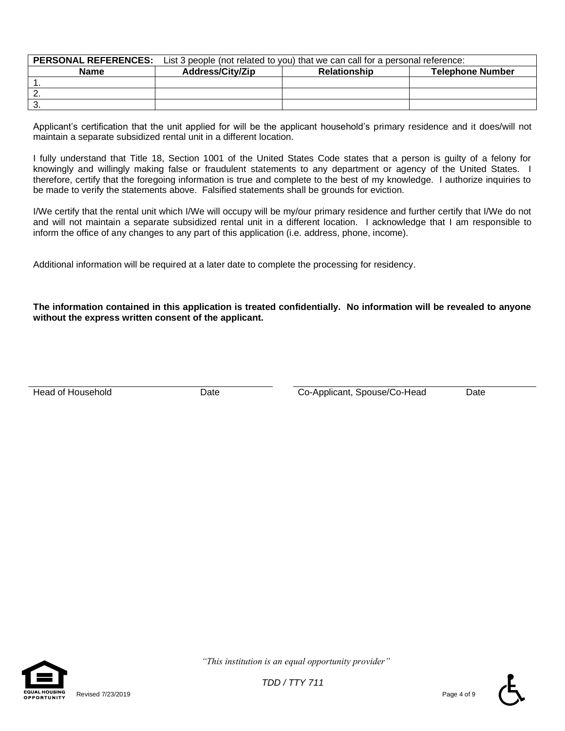|      | <b>PERSONAL REFERENCES:</b> List 3 people (not related to you) that we can call for a personal reference: |  |  |  |  |
|------|-----------------------------------------------------------------------------------------------------------|--|--|--|--|
| Name | <b>Address/City/Zip</b><br><b>Telephone Number</b><br><b>Relationship</b>                                 |  |  |  |  |
|      |                                                                                                           |  |  |  |  |
| Ζ.   |                                                                                                           |  |  |  |  |
| ు.   |                                                                                                           |  |  |  |  |

Applicant's certification that the unit applied for will be the applicant household's primary residence and it does/will not maintain a separate subsidized rental unit in a different location.

I fully understand that Title 18, Section 1001 of the United States Code states that a person is guilty of a felony for knowingly and willingly making false or fraudulent statements to any department or agency of the United States. I therefore, certify that the foregoing information is true and complete to the best of my knowledge. I authorize inquiries to be made to verify the statements above. Falsified statements shall be grounds for eviction.

I/We certify that the rental unit which I/We will occupy will be my/our primary residence and further certify that I/We do not and will not maintain a separate subsidized rental unit in a different location. I acknowledge that I am responsible to inform the office of any changes to any part of this application (i.e. address, phone, income).

Additional information will be required at a later date to complete the processing for residency.

**The information contained in this application is treated confidentially. No information will be revealed to anyone without the express written consent of the applicant.**

Head of Household **Example 20** Date Co-Applicant, Spouse/Co-Head Date



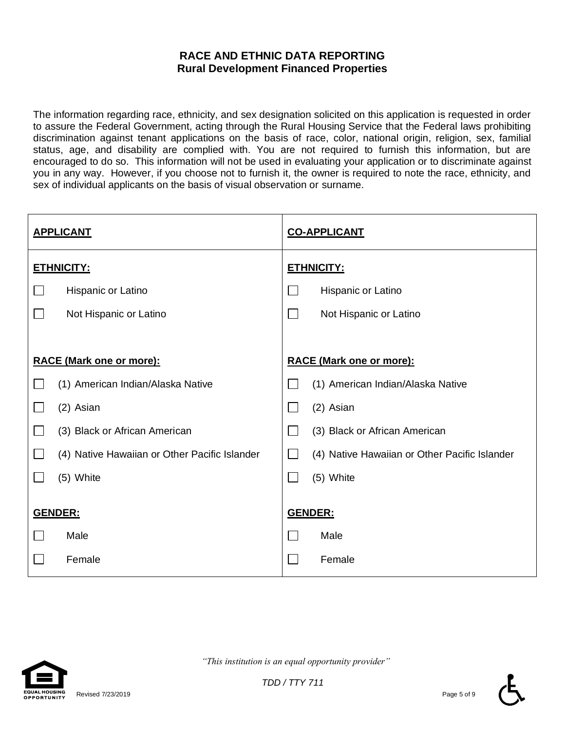## **RACE AND ETHNIC DATA REPORTING Rural Development Financed Properties**

The information regarding race, ethnicity, and sex designation solicited on this application is requested in order to assure the Federal Government, acting through the Rural Housing Service that the Federal laws prohibiting discrimination against tenant applications on the basis of race, color, national origin, religion, sex, familial status, age, and disability are complied with. You are not required to furnish this information, but are encouraged to do so. This information will not be used in evaluating your application or to discriminate against you in any way. However, if you choose not to furnish it, the owner is required to note the race, ethnicity, and sex of individual applicants on the basis of visual observation or surname.

| <b>APPLICANT</b> |                                               | <b>CO-APPLICANT</b> |                                               |  |  |
|------------------|-----------------------------------------------|---------------------|-----------------------------------------------|--|--|
|                  | <b>ETHNICITY:</b>                             |                     | <b>ETHNICITY:</b>                             |  |  |
|                  | Hispanic or Latino                            |                     | Hispanic or Latino                            |  |  |
|                  | Not Hispanic or Latino                        | $\sim$              | Not Hispanic or Latino                        |  |  |
|                  |                                               |                     |                                               |  |  |
|                  | <b>RACE (Mark one or more):</b>               |                     | <b>RACE (Mark one or more):</b>               |  |  |
|                  | (1) American Indian/Alaska Native             |                     | (1) American Indian/Alaska Native             |  |  |
|                  | (2) Asian                                     |                     | (2) Asian                                     |  |  |
|                  | (3) Black or African American                 |                     | (3) Black or African American                 |  |  |
|                  | (4) Native Hawaiian or Other Pacific Islander |                     | (4) Native Hawaiian or Other Pacific Islander |  |  |
|                  | (5) White                                     |                     | (5) White                                     |  |  |
|                  | GENDER:                                       |                     | GENDER:                                       |  |  |
|                  | Male                                          |                     | Male                                          |  |  |
|                  | Female                                        |                     | Female                                        |  |  |



 *"This institution is an equal opportunity provider"*

*TDD / TTY 711*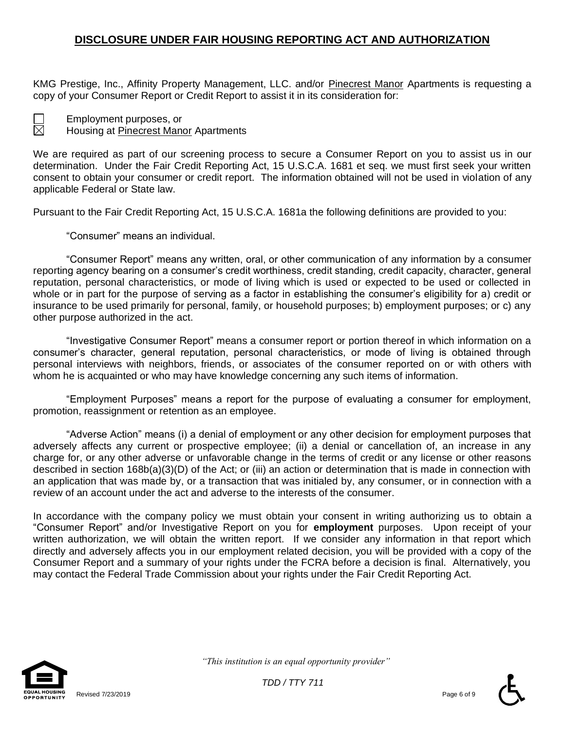## **DISCLOSURE UNDER FAIR HOUSING REPORTING ACT AND AUTHORIZATION**

KMG Prestige, Inc., Affinity Property Management, LLC. and/or Pinecrest Manor Apartments is requesting a copy of your Consumer Report or Credit Report to assist it in its consideration for:



Employment purposes, or

Housing at Pinecrest Manor Apartments

We are required as part of our screening process to secure a Consumer Report on you to assist us in our determination. Under the Fair Credit Reporting Act, 15 U.S.C.A. 1681 et seq. we must first seek your written consent to obtain your consumer or credit report. The information obtained will not be used in violation of any applicable Federal or State law.

Pursuant to the Fair Credit Reporting Act, 15 U.S.C.A. 1681a the following definitions are provided to you:

"Consumer" means an individual.

"Consumer Report" means any written, oral, or other communication of any information by a consumer reporting agency bearing on a consumer's credit worthiness, credit standing, credit capacity, character, general reputation, personal characteristics, or mode of living which is used or expected to be used or collected in whole or in part for the purpose of serving as a factor in establishing the consumer's eligibility for a) credit or insurance to be used primarily for personal, family, or household purposes; b) employment purposes; or c) any other purpose authorized in the act.

"Investigative Consumer Report" means a consumer report or portion thereof in which information on a consumer's character, general reputation, personal characteristics, or mode of living is obtained through personal interviews with neighbors, friends, or associates of the consumer reported on or with others with whom he is acquainted or who may have knowledge concerning any such items of information.

"Employment Purposes" means a report for the purpose of evaluating a consumer for employment, promotion, reassignment or retention as an employee.

"Adverse Action" means (i) a denial of employment or any other decision for employment purposes that adversely affects any current or prospective employee; (ii) a denial or cancellation of, an increase in any charge for, or any other adverse or unfavorable change in the terms of credit or any license or other reasons described in section 168b(a)(3)(D) of the Act; or (iii) an action or determination that is made in connection with an application that was made by, or a transaction that was initialed by, any consumer, or in connection with a review of an account under the act and adverse to the interests of the consumer.

In accordance with the company policy we must obtain your consent in writing authorizing us to obtain a "Consumer Report" and/or Investigative Report on you for **employment** purposes. Upon receipt of your written authorization, we will obtain the written report. If we consider any information in that report which directly and adversely affects you in our employment related decision, you will be provided with a copy of the Consumer Report and a summary of your rights under the FCRA before a decision is final. Alternatively, you may contact the Federal Trade Commission about your rights under the Fair Credit Reporting Act.



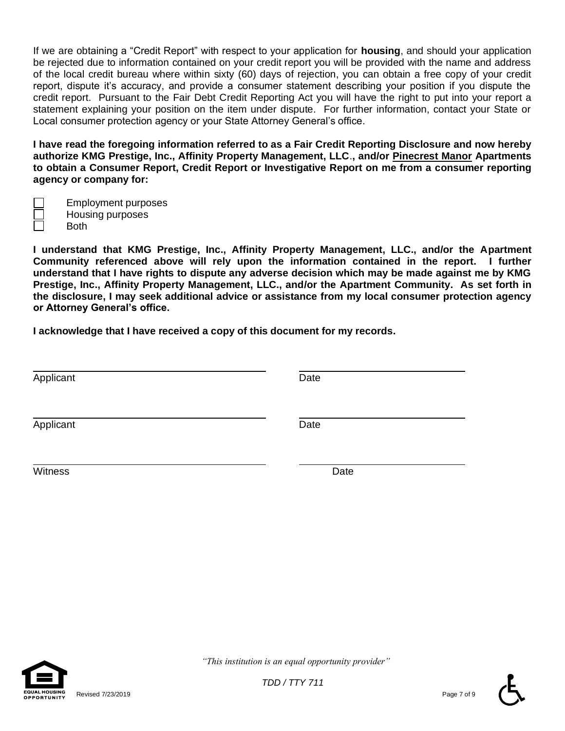If we are obtaining a "Credit Report" with respect to your application for **housing**, and should your application be rejected due to information contained on your credit report you will be provided with the name and address of the local credit bureau where within sixty (60) days of rejection, you can obtain a free copy of your credit report, dispute it's accuracy, and provide a consumer statement describing your position if you dispute the credit report. Pursuant to the Fair Debt Credit Reporting Act you will have the right to put into your report a statement explaining your position on the item under dispute. For further information, contact your State or Local consumer protection agency or your State Attorney General's office.

**I have read the foregoing information referred to as a Fair Credit Reporting Disclosure and now hereby authorize KMG Prestige, Inc., Affinity Property Management, LLC**.**, and/or Pinecrest Manor Apartments to obtain a Consumer Report, Credit Report or Investigative Report on me from a consumer reporting agency or company for:**

Employment purposes Housing purposes

Both

**I understand that KMG Prestige, Inc., Affinity Property Management, LLC., and/or the Apartment Community referenced above will rely upon the information contained in the report. I further understand that I have rights to dispute any adverse decision which may be made against me by KMG Prestige, Inc., Affinity Property Management, LLC., and/or the Apartment Community. As set forth in the disclosure, I may seek additional advice or assistance from my local consumer protection agency or Attorney General's office.**

**I acknowledge that I have received a copy of this document for my records.**

| Applicant | Date |
|-----------|------|
| Applicant | Date |
| Witness   | Date |



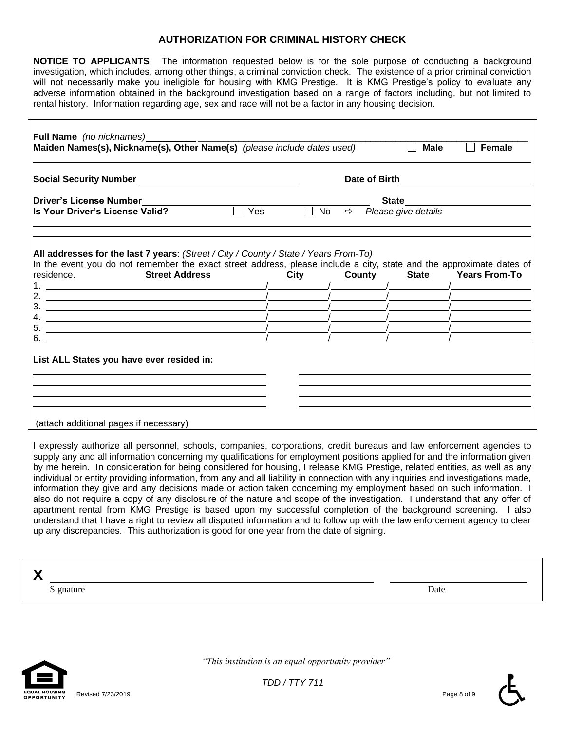#### **AUTHORIZATION FOR CRIMINAL HISTORY CHECK**

**NOTICE TO APPLICANTS**: The information requested below is for the sole purpose of conducting a background investigation, which includes, among other things, a criminal conviction check. The existence of a prior criminal conviction will not necessarily make you ineligible for housing with KMG Prestige. It is KMG Prestige's policy to evaluate any adverse information obtained in the background investigation based on a range of factors including, but not limited to rental history. Information regarding age, sex and race will not be a factor in any housing decision.

| Full Name (no nicknames)<br>Maiden Names(s), Nickname(s), Other Name(s) (please include dates used)                                                                                                                                                                                                                                                                                                                                                                                                                                                                                                                                                                                                                                                                 |                                    |  | <b>Male</b><br>Female             |                            |
|---------------------------------------------------------------------------------------------------------------------------------------------------------------------------------------------------------------------------------------------------------------------------------------------------------------------------------------------------------------------------------------------------------------------------------------------------------------------------------------------------------------------------------------------------------------------------------------------------------------------------------------------------------------------------------------------------------------------------------------------------------------------|------------------------------------|--|-----------------------------------|----------------------------|
|                                                                                                                                                                                                                                                                                                                                                                                                                                                                                                                                                                                                                                                                                                                                                                     | Date of Birth <b>Exercise 2008</b> |  |                                   |                            |
| <b>Driver's License Number</b>                                                                                                                                                                                                                                                                                                                                                                                                                                                                                                                                                                                                                                                                                                                                      |                                    |  |                                   |                            |
| Is Your Driver's License Valid?                                                                                                                                                                                                                                                                                                                                                                                                                                                                                                                                                                                                                                                                                                                                     | $\sqrt{ }$ Yes<br>$\Box$ No        |  | $\Rightarrow$ Please give details |                            |
| All addresses for the last 7 years: (Street / City / County / State / Years From-To)<br>In the event you do not remember the exact street address, please include a city, state and the approximate dates of<br>residence.<br><b>Street Address</b><br>2. $\frac{1}{2}$ $\frac{1}{2}$ $\frac{1}{2}$ $\frac{1}{2}$ $\frac{1}{2}$ $\frac{1}{2}$ $\frac{1}{2}$ $\frac{1}{2}$ $\frac{1}{2}$ $\frac{1}{2}$ $\frac{1}{2}$ $\frac{1}{2}$ $\frac{1}{2}$ $\frac{1}{2}$ $\frac{1}{2}$ $\frac{1}{2}$ $\frac{1}{2}$ $\frac{1}{2}$ $\frac{1}{2}$ $\frac{1}{2}$ $\frac{1}{2}$ $\frac{1}{2}$<br>4.<br><u> 1989 - Johann Barn, fransk politik (d. 1989)</u><br><u> 1989 - Johann Stein, mars an deutscher Stein und der Stein und der Stein und der Stein und der Stein und der</u> | City                               |  |                                   | County State Years From-To |
| 6.<br>List ALL States you have ever resided in:                                                                                                                                                                                                                                                                                                                                                                                                                                                                                                                                                                                                                                                                                                                     |                                    |  |                                   |                            |

I expressly authorize all personnel, schools, companies, corporations, credit bureaus and law enforcement agencies to supply any and all information concerning my qualifications for employment positions applied for and the information given by me herein. In consideration for being considered for housing, I release KMG Prestige, related entities, as well as any individual or entity providing information, from any and all liability in connection with any inquiries and investigations made, information they give and any decisions made or action taken concerning my employment based on such information. I also do not require a copy of any disclosure of the nature and scope of the investigation. I understand that any offer of apartment rental from KMG Prestige is based upon my successful completion of the background screening. I also understand that I have a right to review all disputed information and to follow up with the law enforcement agency to clear up any discrepancies. This authorization is good for one year from the date of signing.

| Signature | Date |  |
|-----------|------|--|



 *"This institution is an equal opportunity provider"*

*TDD / TTY 711*

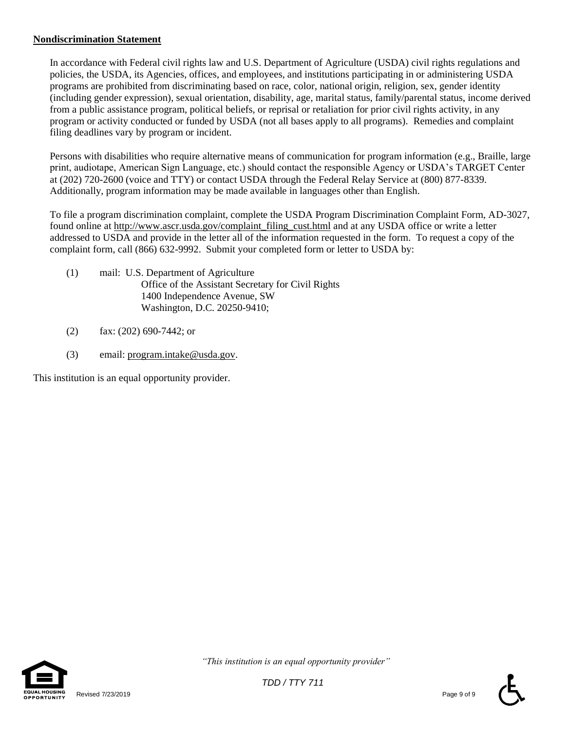#### **Nondiscrimination Statement**

In accordance with Federal civil rights law and U.S. Department of Agriculture (USDA) civil rights regulations and policies, the USDA, its Agencies, offices, and employees, and institutions participating in or administering USDA programs are prohibited from discriminating based on race, color, national origin, religion, sex, gender identity (including gender expression), sexual orientation, disability, age, marital status, family/parental status, income derived from a public assistance program, political beliefs, or reprisal or retaliation for prior civil rights activity, in any program or activity conducted or funded by USDA (not all bases apply to all programs). Remedies and complaint filing deadlines vary by program or incident.

Persons with disabilities who require alternative means of communication for program information (e.g., Braille, large print, audiotape, American Sign Language, etc.) should contact the responsible Agency or USDA's TARGET Center at (202) 720-2600 (voice and TTY) or contact USDA through the Federal Relay Service at (800) 877-8339. Additionally, program information may be made available in languages other than English.

To file a program discrimination complaint, complete the USDA Program Discrimination Complaint Form, AD-3027, found online at [http://www.ascr.usda.gov/complaint\\_filing\\_cust.html](http://www.ascr.usda.gov/complaint_filing_cust.html) and at any USDA office or write a letter addressed to USDA and provide in the letter all of the information requested in the form. To request a copy of the complaint form, call (866) 632-9992. Submit your completed form or letter to USDA by:

- (1) mail: U.S. Department of Agriculture Office of the Assistant Secretary for Civil Rights 1400 Independence Avenue, SW Washington, D.C. 20250-9410;
- (2) fax: (202) 690-7442; or
- (3) email: [program.intake@usda.gov.](mailto:program.intake@usda.gov)

This institution is an equal opportunity provider.

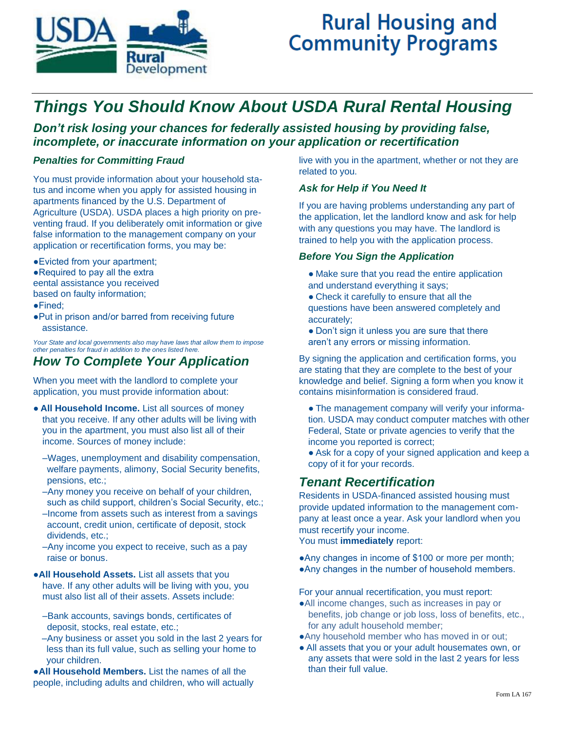

# **Rural Housing and Community Programs**

## *Things You Should Know About USDA Rural Rental Housing*

*Don't risk losing your chances for federally assisted housing by providing false, incomplete, or inaccurate information on your application or recertification*

#### *Penalties for Committing Fraud*

You must provide information about your household status and income when you apply for assisted housing in apartments financed by the U.S. Department of Agriculture (USDA). USDA places a high priority on preventing fraud. If you deliberately omit information or give false information to the management company on your application or recertification forms, you may be:

●Evicted from your apartment; ●Required to pay all the extra eental assistance you received based on faulty information;

- ●Fined;
- ●Put in prison and/or barred from receiving future assistance.

*Your State and local governments also may have laws that allow them to impose other penalties for fraud in addition to the ones listed here.* 

## *How To Complete Your Application*

When you meet with the landlord to complete your application, you must provide information about:

- **All Household Income.** List all sources of money that you receive. If any other adults will be living with you in the apartment, you must also list all of their income. Sources of money include:
	- –Wages, unemployment and disability compensation, welfare payments, alimony, Social Security benefits, pensions, etc.;
	- –Any money you receive on behalf of your children, such as child support, children's Social Security, etc.;
	- –Income from assets such as interest from a savings account, credit union, certificate of deposit, stock dividends, etc.;
	- –Any income you expect to receive, such as a pay raise or bonus.
- ●**All Household Assets.** List all assets that you have. If any other adults will be living with you, you must also list all of their assets. Assets include:
	- –Bank accounts, savings bonds, certificates of deposit, stocks, real estate, etc.;
	- –Any business or asset you sold in the last 2 years for less than its full value, such as selling your home to your children.

●**All Household Members.** List the names of all the people, including adults and children, who will actually live with you in the apartment, whether or not they are related to you.

#### *Ask for Help if You Need It*

If you are having problems understanding any part of the application, let the landlord know and ask for help with any questions you may have. The landlord is trained to help you with the application process.

#### *Before You Sign the Application*

- Make sure that you read the entire application and understand everything it says;
- Check it carefully to ensure that all the questions have been answered completely and accurately;
- Don't sign it unless you are sure that there aren't any errors or missing information.

By signing the application and certification forms, you are stating that they are complete to the best of your knowledge and belief. Signing a form when you know it contains misinformation is considered fraud.

- The management company will verify your information. USDA may conduct computer matches with other Federal, State or private agencies to verify that the income you reported is correct;
- Ask for a copy of your signed application and keep a copy of it for your records.

## *Tenant Recertification*

Residents in USDA-financed assisted housing must provide updated information to the management company at least once a year. Ask your landlord when you must recertify your income.

You must **immediately** report:

- ●Any changes in income of \$100 or more per month;
- ●Any changes in the number of household members.

For your annual recertification, you must report:

- ●All income changes, such as increases in pay or benefits, job change or job loss, loss of benefits, etc., for any adult household member;
- ●Any household member who has moved in or out;
- All assets that you or your adult housemates own, or any assets that were sold in the last 2 years for less than their full value.